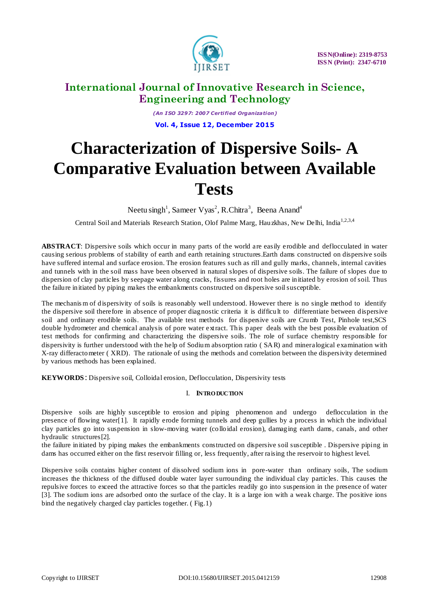

*(An I SO 3297: 2007 Certified Organization)* **Vol. 4, Issue 12, December 2015**

# **Characterization of Dispersive Soils- A Comparative Evaluation between Available Tests**

Neetu singh<sup>1</sup>, Sameer Vyas<sup>2</sup>, R.Chitra<sup>3</sup>, Beena Anand<sup>4</sup>

Central Soil and Materials Research Station, Olof Palme Marg, Hauzkhas, New Delhi, India<sup>1,2,3,4</sup>

**ABSTRACT**: Dispersive soils which occur in many parts of the world are easily erodible and deflocculated in water causing serious problems of stability of earth and earth retaining structures.Earth dams constructed on dispersive soils have suffered internal and surface erosion. The erosion features such as rill and gully marks, channels, internal cavities and tunnels with in the soil mass have been observed in natural slopes of dispersive soils. The failure of slopes due to dispersion of clay particles by seepage water along cracks, fissures and root holes are initiated by erosion of soil. Thus the failure in itiated by piping makes the embankments constructed on dispersive soil susceptible.

The mechanis m of dispersivity of soils is reasonably well understood. However there is no single method to identify the dispersive soil therefore in absence of proper diagnostic criteria it is difficult to differentiate between dispersive soil and ordinary erodible soils. The available test methods for dispersive soils are Crumb Test, Pinhole test,SCS double hydrometer and chemical analysis of pore water extract. This paper deals with the best possible evaluation of test methods for confirming and characterizing the dispersive soils. The role of surface chemistry responsible for dispersivity is further understood with the help of Sodium absorption ratio ( SAR) and mineralogical examination with X-ray differactometer ( XRD). The rationale of using the methods and correlation between the dispersivity determined by various methods has been explained.

**KEYWORDS** : Dispersive soil, Colloidal erosion, Deflocculation, Dispersivity tests

#### I. **INTRO DUCTION**

Dispersive soils are highly susceptible to erosion and piping phenomenon and undergo deflocculation in the presence of flowing water[1]. It rapidly erode forming tunnels and deep gullies by a process in which the individual clay particles go into suspension in slow-moving water (colloidal erosion), damaging earth dams, canals, and other hydraulic structures[2].

the failure initiated by piping makes the embankments constructed on dispersive soil susceptible . Dispersive piping in dams has occurred either on the first reservoir filling or, less frequently, after raising the reservoir to highest level.

Dispersive soils contains higher content of dissolved sodium ions in pore-water than ordinary soils, The sodium increases the thickness of the diffused double water layer surrounding the individual clay particles. This causes the repulsive forces to exceed the attractive forces so that the particles readily go into suspension in the presence of water [3]. The sodium ions are adsorbed onto the surface of the clay. It is a large ion with a weak charge. The positive ions bind the negatively charged clay particles together. ( Fig.1)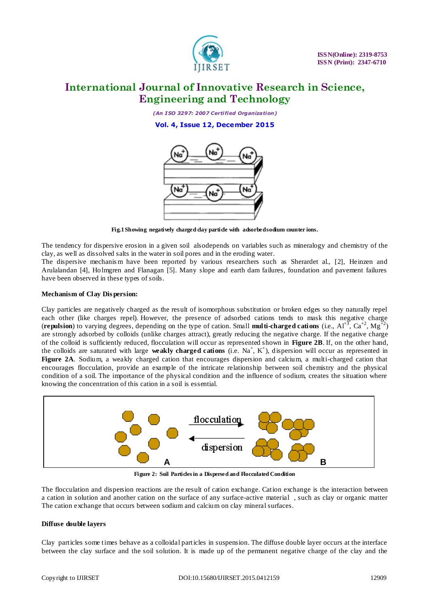

*(An I SO 3297: 2007 Certified Organization)* **Vol. 4, Issue 12, December 2015**



**Fig.1 Showing negatively charged clay particle with adsorbed sodium counter ions.**

The tendency for dispersive erosion in a given soil alsodepends on variables such as mineralogy and chemistry of the clay, as well as dissolved salts in the water in soil pores and in the eroding water.

The dispersive mechanis m have been reported by various researchers such as Sherardet al., [2], Heinzen and Arulalandan [4], Holmgren and Flanagan [5]. Many slope and earth dam failures, foundation and pavement failures have been observed in these types of soils.

#### **Mechanism of Clay Dis persion:**

Clay particles are negatively charged as the result of isomorphous substitution or broken edges so they naturally repel each other (like charges repel). However, the presence of adsorbed cations tends to mask this negative charge (**repulsion**) to varying degrees, depending on the type of cation. Small **multi-charged cations** (i.e.,  $Al^{+3}$ ,  $Ca^{+2}$ ,  $Mg^{+2}$ ) are strongly adsorbed by colloids (unlike charges attract), greatly reducing the negative charge. If the negative charge of the colloid is sufficiently reduced, flocculation will occur as represented shown in **Figure 2B**. If, on the other hand, the colloids are saturated with large weakly charged cations (i.e. Na<sup>+</sup>, K<sup>+</sup>), dispersion will occur as represented in **Figure 2A**. Sodium, a weakly charged cation that encourages dispersion and calcium, a multi-charged cation that encourages flocculation, provide an example of the intricate relationship between soil chemistry and the physical condition of a soil. The importance of the physical condition and the influence of sodium, creates the situation where knowing the concentration of this cation in a soil is essential.



**Figure 2: Soil Particles in a Dispersed and Flocculated Condition**

The flocculation and dispersion reactions are the result of cation exchange. Cation exchange is the interaction between a cation in solution and another cation on the surface of any surface-active material , such as clay or organic matter The cation exchange that occurs between sodium and calcium on clay mineral surfaces.

#### **Diffuse double layers**

Clay particles some times behave as a colloidal particles in suspension. The diffuse double layer occurs at the interface between the clay surface and the soil solution. It is made up of the permanent negative charge of the clay and the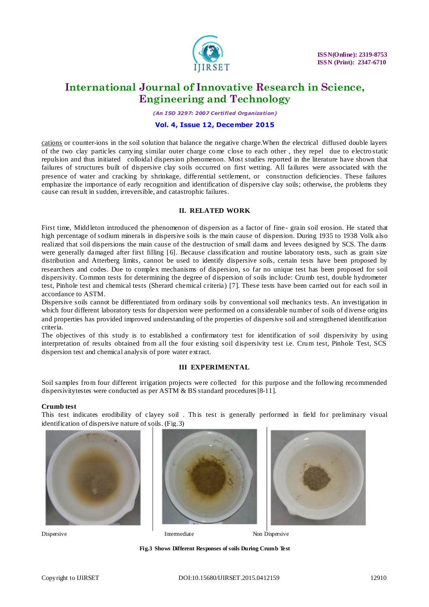

*(An I SO 3297: 2007 Certified Organization)*

#### **Vol. 4, Issue 12, December 2015**

[cations](http://www.science.org.au/nova/035/035glo.htm#ion) or counter-ions in the soil solution that balance the negative charge.When the electrical diffused double layers of the two clay particles carrying similar outer charge come close to each other , they repel due to electro static repulsion and thus initiated colloidal dispersion phenomenon. Most studies reported in the literature have shown that failures of structures built of dispersive clay soils occurred on first wetting. All failures were associated with the presence of water and cracking by shrinkage, differential settlement, or construction deficiencies. These failures emphasize the importance of early recognition and identification of dispersive clay soils; otherwise, the problems they cause can result in sudden, irreversible, and catastrophic failures.

#### **II. RELATED WORK**

First time, Middleton introduced the phenomenon of dispersion as a factor of fine-grain soil erosion. He stated that high percentage of sodium minerals in dispersive soils is the main cause of dispersion. During 1935 to 1938 Volk also realized that soil dispersions the main cause of the destruction of small dams and levees designed by SCS. The dams were generally damaged after first filling [6]. Because classification and routine laboratory tests, such as grain size distribution and Atterberg limits, cannot be used to identify dispersive soils, certain tests have been proposed by researchers and codes. Due to complex mechanisms of dispersion, so far no unique test has been proposed for soil dispersivity. Common tests for determining the degree of dispersion of soils include: Crumb test, double hydrometer test, Pinhole test and chemical tests (Sherard chemical criteria) [7]. These tests have been carried out for each soil in accordance to ASTM.

Dispersive soils cannot be differentiated from ordinary soils by conventional soil mechanics tests. An investigation in which four different laboratory tests for dispersion were performed on a considerable number of soils of diverse origins and properties has provided improved understanding of the properties of dispersive soil and strengthened identification criteria.

The objectives of this study is to established a confirmatory test for identification of soil dispersivity by using interpretation of results obtained from all the four existing soil dispersivity test i.e. Crum test, Pinhole Test, SCS dispersion test and chemical analysis of pore water extract.

#### **III EXPERIMENTAL**

Soil samples from four different irrigation projects were collected for this purpose and the following recommended dispersivitytestes were conducted as per ASTM & BS standard procedures [8-11].

#### **Crumb test**

This test indicates erodibility of clayey soil. This test is generally performed in field for preliminary visual identification of dispersive nature of soils. (Fig.3)









Dispersive Intermediate Non Dispersive

**Fig.3 Shows Different Responses of soils During Crumb Test**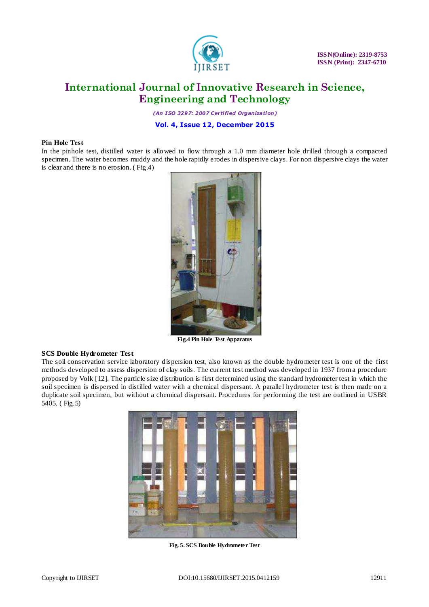

 **ISSN(Online): 2319-8753 ISSN (Print): 2347-6710**

### **International Journal of Innovative Research in Science, Engineering and Technology**

*(An I SO 3297: 2007 Certified Organization)*

**Vol. 4, Issue 12, December 2015**

#### **Pin Hole Test**

In the pinhole test, distilled water is allowed to flow through a 1.0 mm diameter hole drilled through a compacted specimen. The water becomes muddy and the hole rapidly erodes in dispersive clays. For non dispersive clays the water is clear and there is no erosion. ( Fig.4)



**Fig.4 Pin Hole Test Apparatus**

#### **SCS Double Hydrometer Test**

The soil conservation service laboratory dispersion test, also known as the double hydrometer test is one of the first methods developed to assess dispersion of clay soils. The current test method was developed in 1937 from a procedure proposed by Volk [12]. The particle size distribution is first determined using the standard hydrometer test in which the soil specimen is dispersed in distilled water with a chemical dispersant. A parallel hydrometer test is then made on a duplicate soil specimen, but without a chemical dispersant. Procedures for performing the test are outlined in USBR 5405. ( Fig.5)



**Fig. 5. SCS Double Hydrometer Test**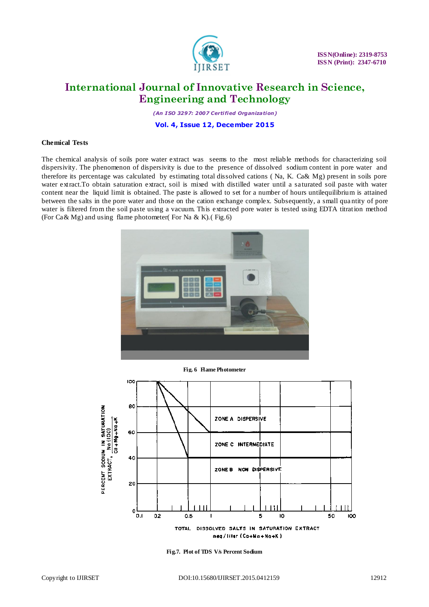

 **ISSN(Online): 2319-8753 ISSN (Print): 2347-6710**

### **International Journal of Innovative Research in Science, Engineering and Technology**

*(An I SO 3297: 2007 Certified Organization)* **Vol. 4, Issue 12, December 2015**

#### **Chemical Tests**

The chemical analysis of soils pore water extract was seems to the most reliable methods for characterizing soil dispersivity. The phenomenon of dispersivity is due to the presence of dissolved sodium content in pore water and therefore its percentage was calculated by estimating total dissolved cations ( Na, K. Ca& Mg) present in soils pore water extract.To obtain saturation extract, soil is mixed with distilled water until a saturated soil paste with water content near the liquid limit is obtained. The paste is allowed to set for a number of hours untilequilibrium is attained between the salts in the pore water and those on the cation exchange complex. Subsequently, a small qua ntity of pore water is filtered from the soil paste using a vacuum. This extracted pore water is tested using EDTA titration method (For  $Ca\&Mg$ ) and using flame photometer( For Na & K).(Fig.6)



**Fig. 6 Flame Photometer**



**Fig.7. Plot of TDS V/s Percent Sodium**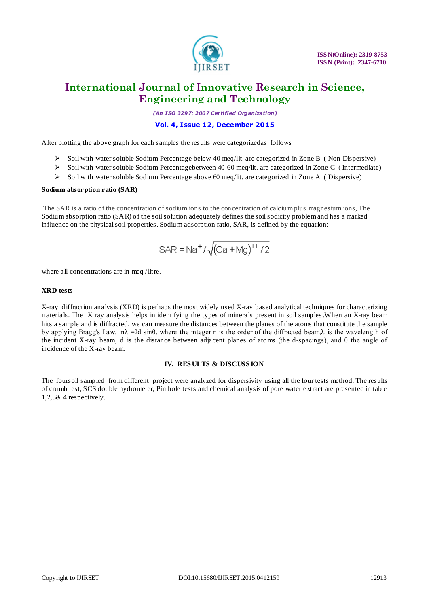

*(An I SO 3297: 2007 Certified Organization)*

#### **Vol. 4, Issue 12, December 2015**

After plotting the above graph for each samples the results were categorizedas follows

- Soil with water soluble Sodium Percentage below 40 meq/lit. are categorized in Zone B ( Non Dispersive)
- $\triangleright$  Soil with water soluble Sodium Percentagebetween 40-60 meq/lit. are categorized in Zone C (Intermediate)
- $\triangleright$  Soil with water soluble Sodium Percentage above 60 meq/lit. are categorized in Zone A ( Dispersive)

#### **Sodium absorption ratio (SAR)**

The SAR is a ratio of the concentration of sodium ions to the concentration of calcium plus magnesium ions,.The Sodium absorption ratio (SAR) of the soil solution adequately defines the soil sodicity problem and has a marked influence on the physical soil properties. Sodium adsorption ratio, SAR, is defined by the equation:

$$
SAR = Na^{+}/\sqrt{(Ca + Mg)^{++}/2}
$$

where all concentrations are in meq /litre.

#### **XRD tests**

X-ray diffraction analysis (XRD) is perhaps the most widely used X-ray based analytical techniques for characterizing materials. The X ray analysis helps in identifying the types of minerals present in soil samples.When an X-ray beam hits a sample and is diffracted, we can measure the distances between the planes of the atoms that constitute the sample by applying Bragg's Law, :nλ =2d sinθ, where the integer n is the order of the diffracted beam,λ is the wavelength of the incident X-ray beam, d is the distance between adjacent planes of atoms (the d-spacings), and θ the angle of incidence of the X-ray beam.

#### **IV. RES ULTS & DISCUSS ION**

The foursoil sampled from different project were analyzed for dispersivity using all the four tests method. The results of crumb test, SCS double hydrometer, Pin hole tests and chemical analysis of pore water extract are presented in table 1,2,3& 4 respectively.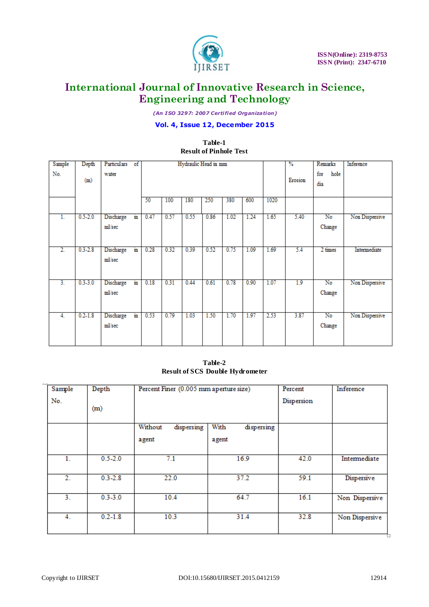

*(An I SO 3297: 2007 Certified Organization)*

### **Vol. 4, Issue 12, December 2015**

### **Table-1 Result of Pinhole Test**

| Sample           | Depth       | Particulars of      |                | Hydraulic Head in mm |      |      |      |      | $\frac{9}{6}$ | Remarks | Inference |                                  |                |
|------------------|-------------|---------------------|----------------|----------------------|------|------|------|------|---------------|---------|-----------|----------------------------------|----------------|
| No.              | (m)         | water               |                |                      |      |      |      |      |               |         | Erosion   | for<br>hole<br>dia               |                |
|                  |             |                     |                | 50                   | 100  | 180  | 250  | 380  | 600           | 1020    |           |                                  |                |
| $\overline{1}$ . | $0.5 - 2.0$ | Discharge<br>ml/sec | in             | 0.47                 | 0.57 | 0.55 | 0.86 | 1.02 | 1.24          | 1.65    | 5.40      | No<br>Change                     | Non Dispersive |
| $\overline{2}$   | $0.3 - 2.8$ | Discharge<br>ml/sec | $\mathbf{m}$   | 0.28                 | 0.32 | 0.39 | 0.52 | 0.75 | 1.09          | 1.69    | 5.4       | 2 times                          | Intermediate   |
| $\overline{3}$ . | $0.3 - 3.0$ | Discharge<br>ml/sec | $\overline{m}$ | 0.18                 | 0.31 | 0.44 | 0.61 | 0.78 | 0.90          | 1.07    | 1.9       | $\overline{\text{No}}$<br>Change | Non Dispersive |
| 4.               | $0.2 - 1.8$ | Discharge<br>ml/sec | m              | 0.53                 | 0.79 | 1.03 | 1.50 | 1.70 | 1.97          | 2.53    | 3.87      | No<br>Change                     | Non Dispersive |

**Table-2 Result of SCS Double Hydrometer**

| Sample           | Depth       | Percent Finer (0.005 mm aperture size) |                    | Percent    | Inference      |
|------------------|-------------|----------------------------------------|--------------------|------------|----------------|
| No.              | (m)         |                                        |                    | Dispersion |                |
|                  |             | Without<br>dispersing                  | With<br>dispersing |            |                |
|                  |             | agent                                  | agent              |            |                |
| 1.               | $0.5 - 2.0$ | 7.1                                    | 16.9               | 42.0       | Intermediate   |
| $\overline{2}$ . | $0.3 - 2.8$ | 22.0                                   | 37.2               | 59.1       | Dispersive     |
| 3.               | $0.3 - 3.0$ | 10.4                                   | 64.7               |            | Non Dispersive |
| 4.               | $0.2 - 1.8$ | 10.3                                   | 31.4               | 32.8       | Non Dispersive |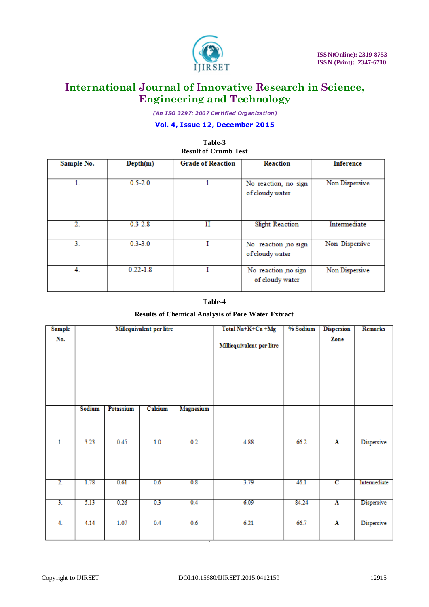

*(An I SO 3297: 2007 Certified Organization)*

#### **Vol. 4, Issue 12, December 2015**

**Table-3**

#### **Result of Crumb Test Grade of Reaction** Sample No.  $Depth(m)$ Reaction **Inference**  $\overline{1}$ .  $0.5 - 2.0$  $\overline{1}$ Non Dispersive No reaction, no sign of cloudy water  $\overline{2}$ .  $0.3 - 2.8$  $\overline{\mathbf{H}}$ **Slight Reaction** Intermediate  $\overline{3}$ .  $0.3 - 3.0$ Ī Non Dispersive No reaction ,no sign of cloudy water 4.  $0.22 - 1.8$ I No reaction ,no sign Non Dispersive of cloudy water

#### **Table-4**

#### **Results of Chemical Analysis of Pore Water Extract**

| <b>Sample</b>    |        |                  | Millequivalent per litre |                  | Total Na+K+Ca +Mg         | % Sodium | <b>Dispersion</b>       | <b>Remarks</b> |
|------------------|--------|------------------|--------------------------|------------------|---------------------------|----------|-------------------------|----------------|
| No.              |        |                  |                          |                  | Milliequivalent per litre |          | Zone                    |                |
|                  | Sodium | <b>Potassium</b> | Calcium                  | <b>Magnesium</b> |                           |          |                         |                |
| 1.               | 3.23   | 0.45             | 1.0                      | 0.2              | 4.88                      | 66.2     | A                       | Dispersive     |
|                  |        |                  |                          |                  |                           |          |                         |                |
| $\overline{2}$ . | 1.78   | 0.61             | 0.6                      | 0.8              | 3.79                      | 46.1     | $\overline{c}$          | Intermediate   |
| $\overline{3}$ . | 5.13   | 0.26             | 0.3                      | 0.4              | 6.09                      | 84.24    | $\overline{\mathbf{A}}$ | Dispersive     |
| 4.               | 4.14   | 1.07             | 0.4                      | 0.6              | 6.21                      | 66.7     | $\overline{\mathbf{A}}$ | Dispersive     |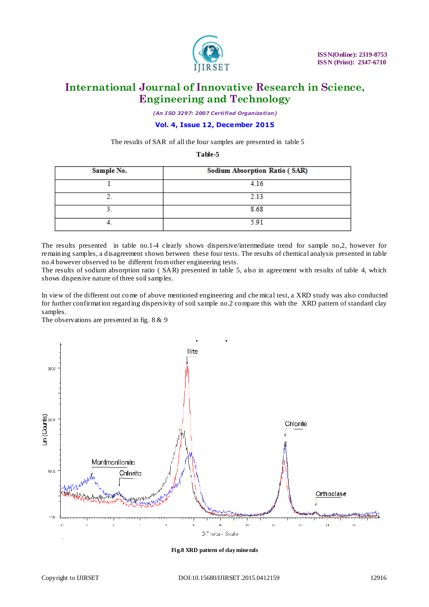

*(An I SO 3297: 2007 Certified Organization)*

**Vol. 4, Issue 12, December 2015**

The results of SAR of all the four samples are presented in table 5

**Table-5**

| Sample No. | <b>Sodium Absorption Ratio (SAR)</b> |
|------------|--------------------------------------|
|            | 4.16                                 |
|            | 2.13                                 |
|            | 8.68                                 |
|            | 591                                  |

The results presented in table no.1-4 clearly shows dispersive/intermediate trend for sample no,2, however for remaining samples, a disagreement shown between these four tests. The results of chemical analysis presented in table no.4 however observed to be different from other engineering tests.

The results of sodium absorption ratio ( SAR) presented in table 5, also in agreement with results of table 4, which shows dispersive nature of three soil samples.

In view of the different out come of above mentioned engineering and che mical test, a XRD study was also conducted for further confirmation regarding dispersivity of soil sample no.2 compare this with the XRD pattern of standard clay samples.

The observations are presented in fig. 8 & 9



**Fig.8 XRD pattern of clay minerals**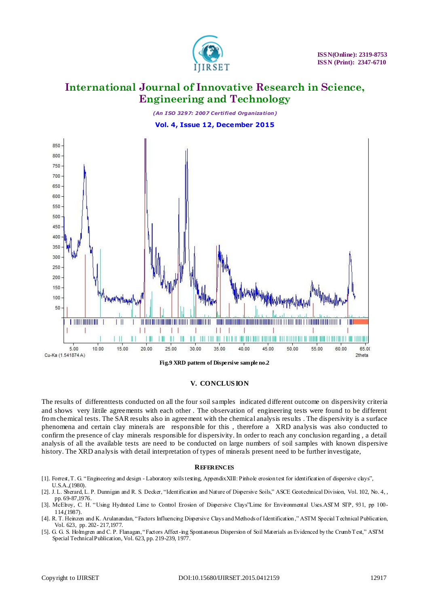



#### **V. CONCLUS ION**

The results of differenttests conducted on all the four soil samples indicated different outcome on dispersivity criteria and shows very littile agreements with each other . The observation of engineering tests were found to be different from chemical tests. The SAR results also in agreement with the chemical analysis results . The dispersivity is a surface phenomena and certain clay minerals are responsible for this , therefore a XRD analysis was also conducted to confirm the presence of clay minerals responsible for dispersivity. In order to reach any conclusion regarding , a detail analysis of all the available tests are need to be conducted on large numbers of soil samples with known dispersive history. The XRD analysis with detail interpretation of types of minerals present need to be further investigate,

#### **REFERENCES**

- [1]. Forrest, T. G. "Engineering and design Laboratory soils testing, AppendixXIII: Pinhole erosion test for identification of dispersive clays", U.S.A.,(1980).
- [2]. J. L. Sherard, L. P. Dunnigan and R. S. Decker, "Identification and Nature of Dispersive Soils," ASCE Geotechnical Division, Vol. 102, No. 4, , pp. 69-87,1976.
- [3]. McElroy, C. H. "Using Hydrated Lime to Control Erosion of Dispersive Clays"Lime for Environmental Uses.ASTM STP, 931, pp 100- 114,(1987).
- [4]. R. T. Heinzen and K. Arulanandan, "Factors Influencing Dispersive Clays and Methods of Identification ," ASTM Special Technical Publication, Vol. 623, pp. 202- 217,1977.
- [5]. G. G. S. Holmgren and C. P. Flanagan, "Factors Affect-ing Spontaneous Dispersion of Soil Materials as Evidenced by the Crumb Test," ASTM Special Technical Publication, Vol. 623, pp. 219-239, 1977.